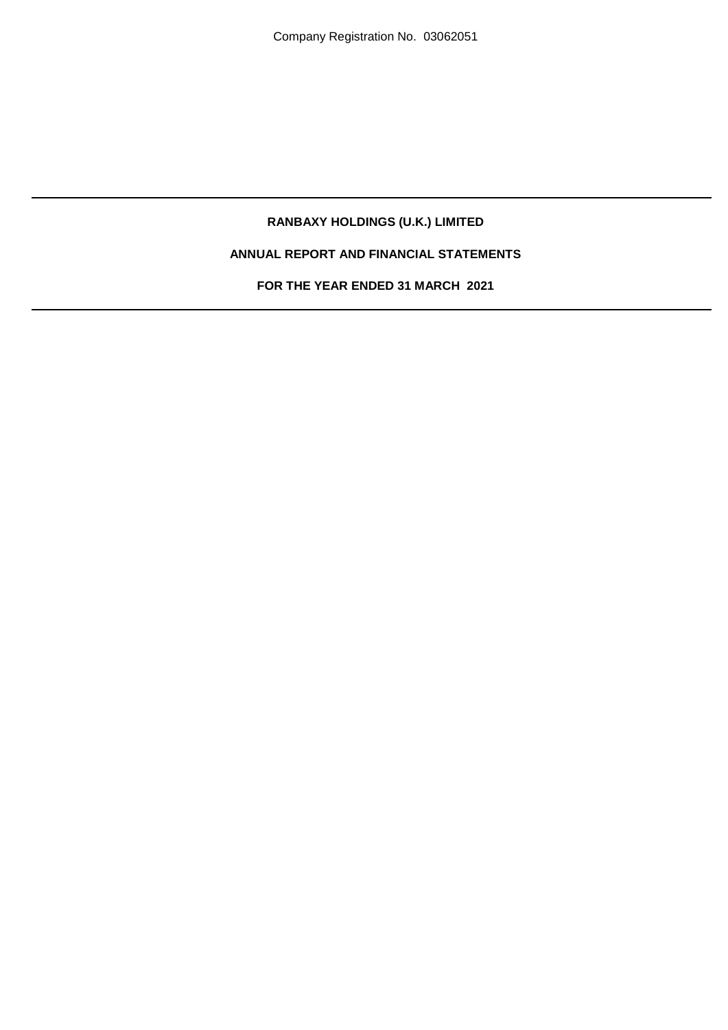# **RANBAXY HOLDINGS (U.K.) LIMITED**

# **ANNUAL REPORT AND FINANCIAL STATEMENTS**

**FOR THE YEAR ENDED 31 MARCH 2021**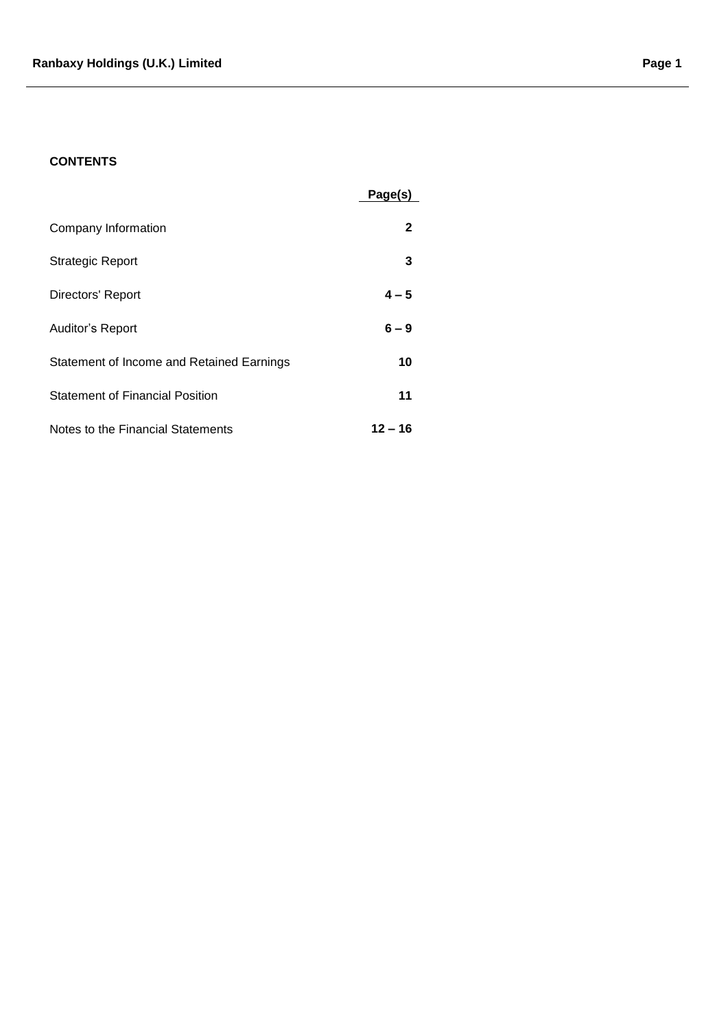# **CONTENTS**

|                                           | Page(s)   |
|-------------------------------------------|-----------|
| Company Information                       | 2         |
| <b>Strategic Report</b>                   | 3         |
| Directors' Report                         | $4 - 5$   |
| <b>Auditor's Report</b>                   | $6 - 9$   |
| Statement of Income and Retained Earnings | 10        |
| <b>Statement of Financial Position</b>    | 11        |
| Notes to the Financial Statements         | $12 - 16$ |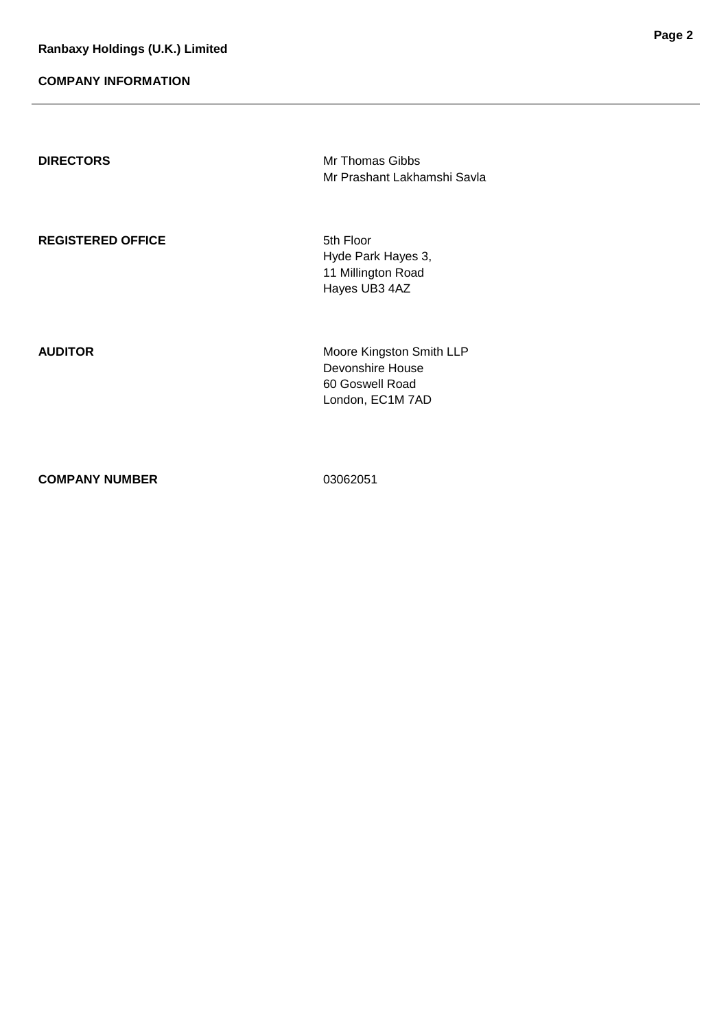**DIRECTORS** Mr Thomas Gibbs

# **COMPANY INFORMATION**

Mr Prashant Lakhamshi Savla **REGISTERED OFFICE** 5th Floor Hyde Park Hayes 3, 11 Millington Road Hayes UB3 4AZ **AUDITOR** Moore Kingston Smith LLP Devonshire House 60 Goswell Road London, EC1M 7AD

**COMPANY NUMBER** 03062051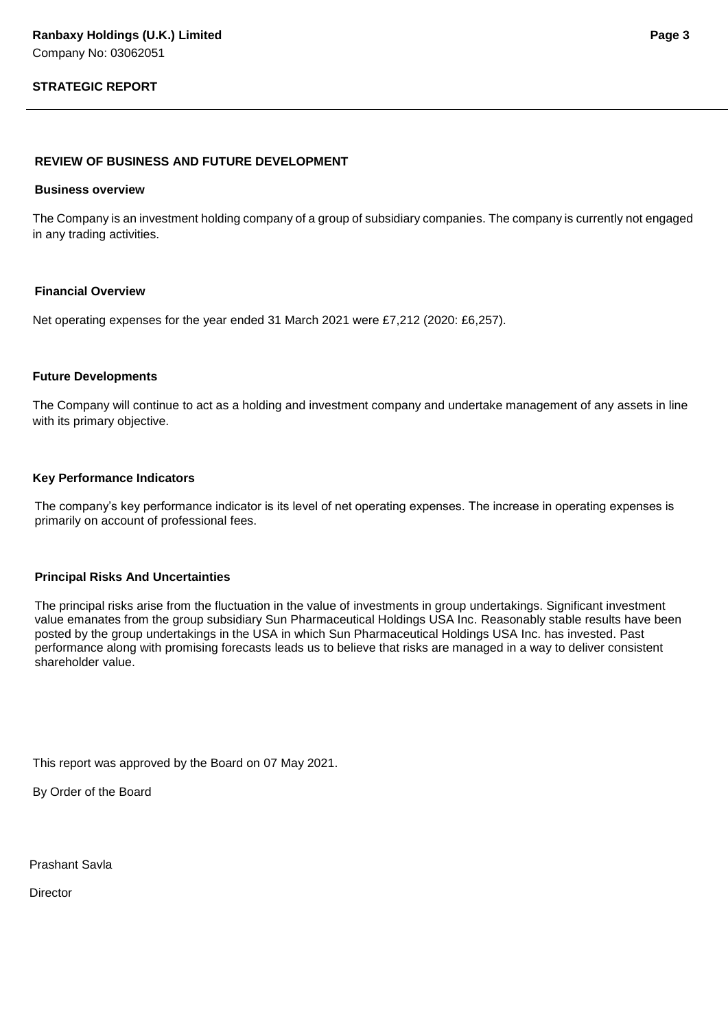# **STRATEGIC REPORT**

### **REVIEW OF BUSINESS AND FUTURE DEVELOPMENT**

#### **Business overview**

The Company is an investment holding company of a group of subsidiary companies. The company is currently not engaged in any trading activities.

## **Financial Overview**

Net operating expenses for the year ended 31 March 2021 were £7,212 (2020: £6,257).

## **Future Developments**

The Company will continue to act as a holding and investment company and undertake management of any assets in line with its primary objective.

## **Key Performance Indicators**

The company's key performance indicator is its level of net operating expenses. The increase in operating expenses is primarily on account of professional fees.

### **Principal Risks And Uncertainties**

The principal risks arise from the fluctuation in the value of investments in group undertakings. Significant investment value emanates from the group subsidiary Sun Pharmaceutical Holdings USA Inc. Reasonably stable results have been posted by the group undertakings in the USA in which Sun Pharmaceutical Holdings USA Inc. has invested. Past performance along with promising forecasts leads us to believe that risks are managed in a way to deliver consistent shareholder value.

This report was approved by the Board on 07 May 2021.

By Order of the Board

Prashant Savla

Director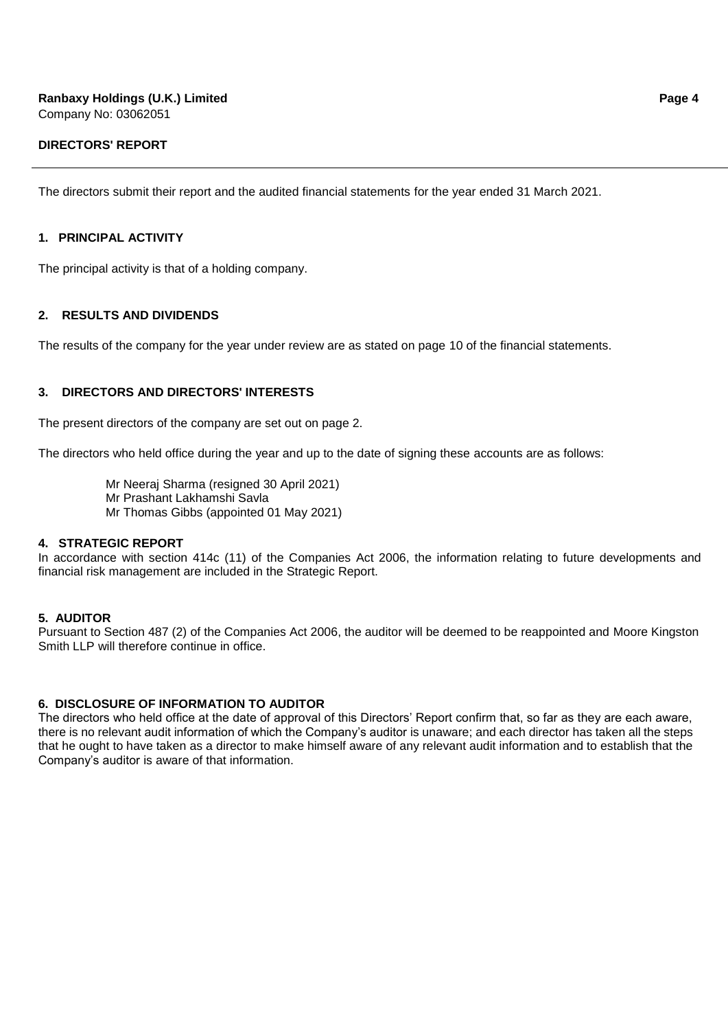# **DIRECTORS' REPORT**

The directors submit their report and the audited financial statements for the year ended 31 March 2021.

# **1. PRINCIPAL ACTIVITY**

The principal activity is that of a holding company.

# **2. RESULTS AND DIVIDENDS**

The results of the company for the year under review are as stated on page 10 of the financial statements.

## **3. DIRECTORS AND DIRECTORS' INTERESTS**

The present directors of the company are set out on page 2.

The directors who held office during the year and up to the date of signing these accounts are as follows:

Mr Neeraj Sharma (resigned 30 April 2021) Mr Prashant Lakhamshi Savla Mr Thomas Gibbs (appointed 01 May 2021)

## **4. STRATEGIC REPORT**

In accordance with section 414c (11) of the Companies Act 2006, the information relating to future developments and financial risk management are included in the Strategic Report.

### **5. AUDITOR**

Pursuant to Section 487 (2) of the Companies Act 2006, the auditor will be deemed to be reappointed and Moore Kingston Smith LLP will therefore continue in office.

# **6. DISCLOSURE OF INFORMATION TO AUDITOR**

The directors who held office at the date of approval of this Directors' Report confirm that, so far as they are each aware, there is no relevant audit information of which the Company's auditor is unaware; and each director has taken all the steps that he ought to have taken as a director to make himself aware of any relevant audit information and to establish that the Company's auditor is aware of that information.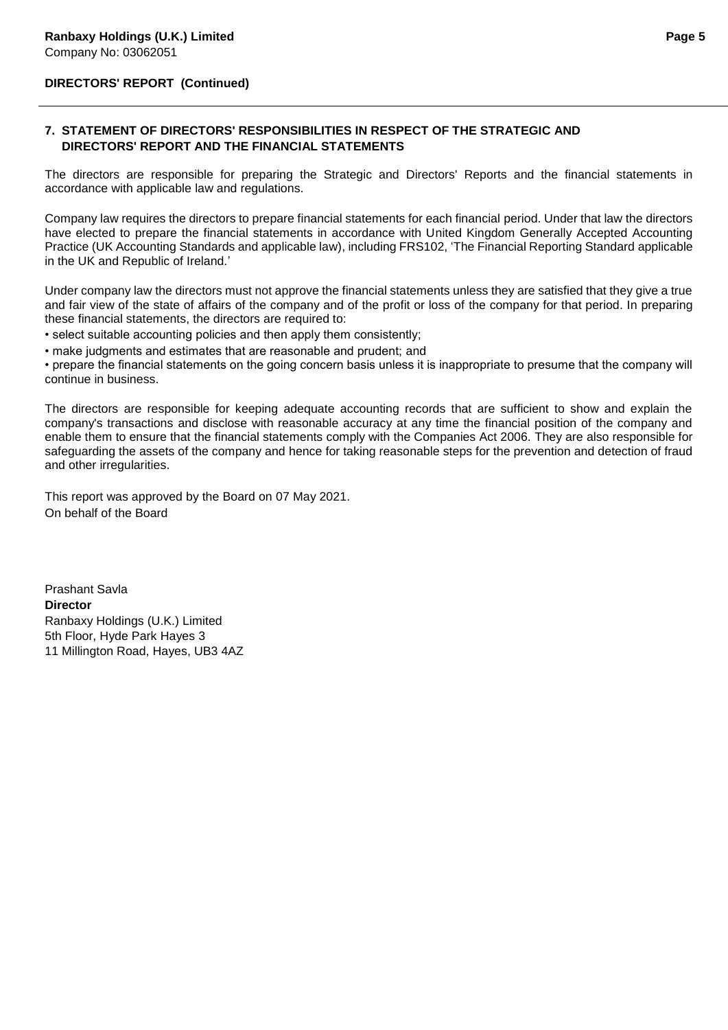# **7. STATEMENT OF DIRECTORS' RESPONSIBILITIES IN RESPECT OF THE STRATEGIC AND DIRECTORS' REPORT AND THE FINANCIAL STATEMENTS**

The directors are responsible for preparing the Strategic and Directors' Reports and the financial statements in accordance with applicable law and regulations.

Company law requires the directors to prepare financial statements for each financial period. Under that law the directors have elected to prepare the financial statements in accordance with United Kingdom Generally Accepted Accounting Practice (UK Accounting Standards and applicable law), including FRS102, 'The Financial Reporting Standard applicable in the UK and Republic of Ireland.'

Under company law the directors must not approve the financial statements unless they are satisfied that they give a true and fair view of the state of affairs of the company and of the profit or loss of the company for that period. In preparing these financial statements, the directors are required to:

• select suitable accounting policies and then apply them consistently;

• make judgments and estimates that are reasonable and prudent; and

• prepare the financial statements on the going concern basis unless it is inappropriate to presume that the company will continue in business.

The directors are responsible for keeping adequate accounting records that are sufficient to show and explain the company's transactions and disclose with reasonable accuracy at any time the financial position of the company and enable them to ensure that the financial statements comply with the Companies Act 2006. They are also responsible for safeguarding the assets of the company and hence for taking reasonable steps for the prevention and detection of fraud and other irregularities.

This report was approved by the Board on 07 May 2021. On behalf of the Board

Prashant Savla **Director** Ranbaxy Holdings (U.K.) Limited 5th Floor, Hyde Park Hayes 3 11 Millington Road, Hayes, UB3 4AZ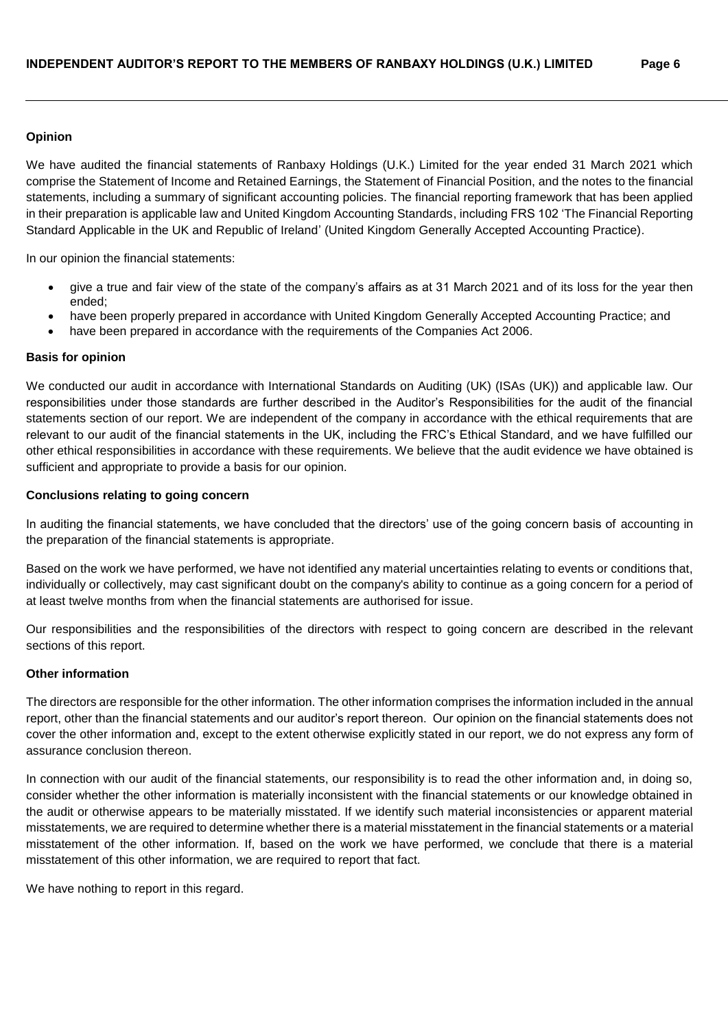### **Opinion**

We have audited the financial statements of Ranbaxy Holdings (U.K.) Limited for the year ended 31 March 2021 which comprise the Statement of Income and Retained Earnings, the Statement of Financial Position, and the notes to the financial statements, including a summary of significant accounting policies. The financial reporting framework that has been applied in their preparation is applicable law and United Kingdom Accounting Standards, including FRS 102 'The Financial Reporting Standard Applicable in the UK and Republic of Ireland' (United Kingdom Generally Accepted Accounting Practice).

In our opinion the financial statements:

- give a true and fair view of the state of the company's affairs as at 31 March 2021 and of its loss for the year then ended;
- have been properly prepared in accordance with United Kingdom Generally Accepted Accounting Practice; and
- have been prepared in accordance with the requirements of the Companies Act 2006.

## **Basis for opinion**

We conducted our audit in accordance with International Standards on Auditing (UK) (ISAs (UK)) and applicable law. Our responsibilities under those standards are further described in the Auditor's Responsibilities for the audit of the financial statements section of our report. We are independent of the company in accordance with the ethical requirements that are relevant to our audit of the financial statements in the UK, including the FRC's Ethical Standard, and we have fulfilled our other ethical responsibilities in accordance with these requirements. We believe that the audit evidence we have obtained is sufficient and appropriate to provide a basis for our opinion.

## **Conclusions relating to going concern**

In auditing the financial statements, we have concluded that the directors' use of the going concern basis of accounting in the preparation of the financial statements is appropriate.

Based on the work we have performed, we have not identified any material uncertainties relating to events or conditions that, individually or collectively, may cast significant doubt on the company's ability to continue as a going concern for a period of at least twelve months from when the financial statements are authorised for issue.

Our responsibilities and the responsibilities of the directors with respect to going concern are described in the relevant sections of this report.

### **Other information**

The directors are responsible for the other information. The other information comprises the information included in the annual report, other than the financial statements and our auditor's report thereon. Our opinion on the financial statements does not cover the other information and, except to the extent otherwise explicitly stated in our report, we do not express any form of assurance conclusion thereon.

In connection with our audit of the financial statements, our responsibility is to read the other information and, in doing so, consider whether the other information is materially inconsistent with the financial statements or our knowledge obtained in the audit or otherwise appears to be materially misstated. If we identify such material inconsistencies or apparent material misstatements, we are required to determine whether there is a material misstatement in the financial statements or a material misstatement of the other information. If, based on the work we have performed, we conclude that there is a material misstatement of this other information, we are required to report that fact.

We have nothing to report in this regard.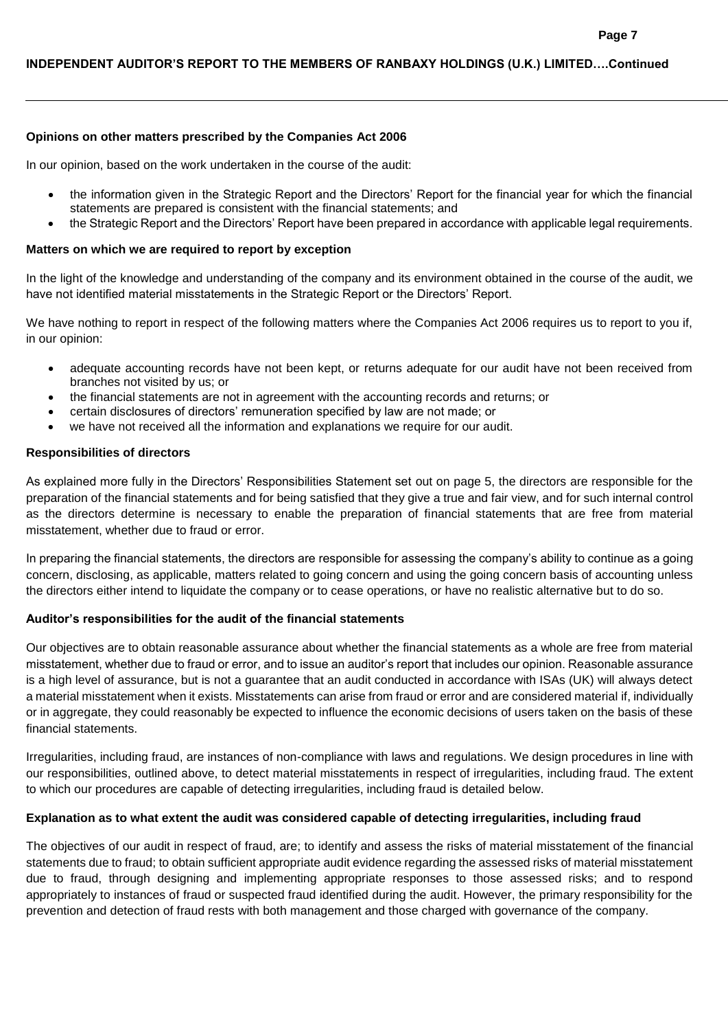### **Opinions on other matters prescribed by the Companies Act 2006**

In our opinion, based on the work undertaken in the course of the audit:

- the information given in the Strategic Report and the Directors' Report for the financial year for which the financial statements are prepared is consistent with the financial statements; and
- the Strategic Report and the Directors' Report have been prepared in accordance with applicable legal requirements.

### **Matters on which we are required to report by exception**

In the light of the knowledge and understanding of the company and its environment obtained in the course of the audit, we have not identified material misstatements in the Strategic Report or the Directors' Report.

We have nothing to report in respect of the following matters where the Companies Act 2006 requires us to report to you if. in our opinion:

- adequate accounting records have not been kept, or returns adequate for our audit have not been received from branches not visited by us; or
- the financial statements are not in agreement with the accounting records and returns; or
- certain disclosures of directors' remuneration specified by law are not made; or
- we have not received all the information and explanations we require for our audit.

### **Responsibilities of directors**

As explained more fully in the Directors' Responsibilities Statement set out on page 5, the directors are responsible for the preparation of the financial statements and for being satisfied that they give a true and fair view, and for such internal control as the directors determine is necessary to enable the preparation of financial statements that are free from material misstatement, whether due to fraud or error.

In preparing the financial statements, the directors are responsible for assessing the company's ability to continue as a going concern, disclosing, as applicable, matters related to going concern and using the going concern basis of accounting unless the directors either intend to liquidate the company or to cease operations, or have no realistic alternative but to do so.

### **Auditor's responsibilities for the audit of the financial statements**

Our objectives are to obtain reasonable assurance about whether the financial statements as a whole are free from material misstatement, whether due to fraud or error, and to issue an auditor's report that includes our opinion. Reasonable assurance is a high level of assurance, but is not a guarantee that an audit conducted in accordance with ISAs (UK) will always detect a material misstatement when it exists. Misstatements can arise from fraud or error and are considered material if, individually or in aggregate, they could reasonably be expected to influence the economic decisions of users taken on the basis of these financial statements.

Irregularities, including fraud, are instances of non-compliance with laws and regulations. We design procedures in line with our responsibilities, outlined above, to detect material misstatements in respect of irregularities, including fraud. The extent to which our procedures are capable of detecting irregularities, including fraud is detailed below.

## **Explanation as to what extent the audit was considered capable of detecting irregularities, including fraud**

The objectives of our audit in respect of fraud, are; to identify and assess the risks of material misstatement of the financial statements due to fraud; to obtain sufficient appropriate audit evidence regarding the assessed risks of material misstatement due to fraud, through designing and implementing appropriate responses to those assessed risks; and to respond appropriately to instances of fraud or suspected fraud identified during the audit. However, the primary responsibility for the prevention and detection of fraud rests with both management and those charged with governance of the company.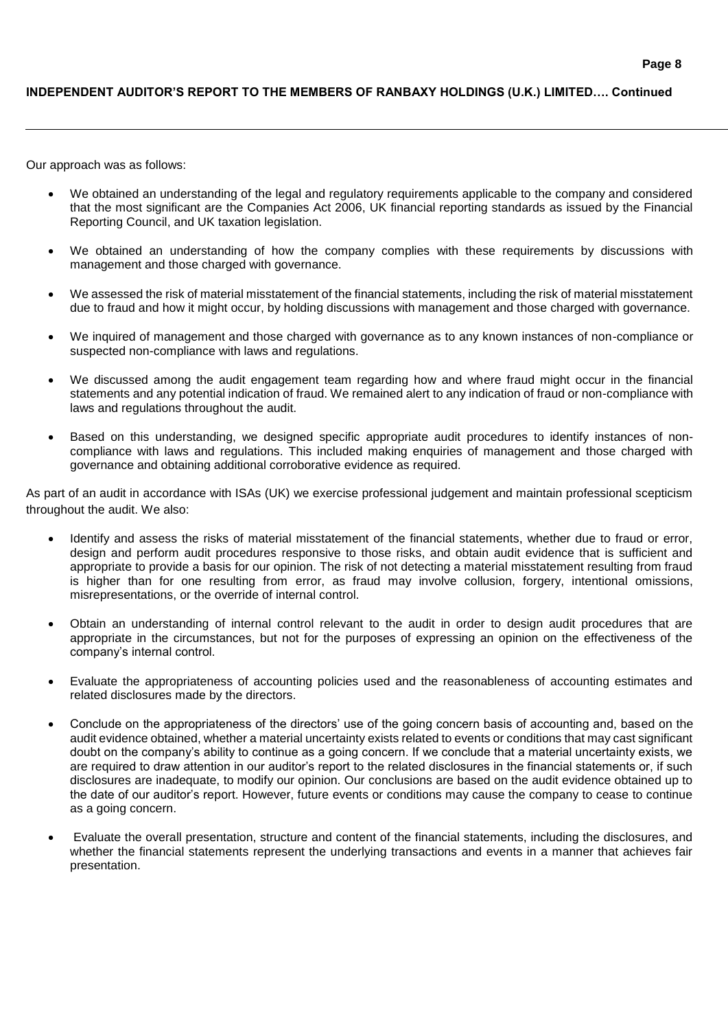# **INDEPENDENT AUDITOR'S REPORT TO THE MEMBERS OF RANBAXY HOLDINGS (U.K.) LIMITED…. Continued**

Our approach was as follows:

- We obtained an understanding of the legal and regulatory requirements applicable to the company and considered that the most significant are the Companies Act 2006, UK financial reporting standards as issued by the Financial Reporting Council, and UK taxation legislation.
- We obtained an understanding of how the company complies with these requirements by discussions with management and those charged with governance.
- We assessed the risk of material misstatement of the financial statements, including the risk of material misstatement due to fraud and how it might occur, by holding discussions with management and those charged with governance.
- We inquired of management and those charged with governance as to any known instances of non-compliance or suspected non-compliance with laws and regulations.
- We discussed among the audit engagement team regarding how and where fraud might occur in the financial statements and any potential indication of fraud. We remained alert to any indication of fraud or non-compliance with laws and regulations throughout the audit.
- Based on this understanding, we designed specific appropriate audit procedures to identify instances of noncompliance with laws and regulations. This included making enquiries of management and those charged with governance and obtaining additional corroborative evidence as required.

As part of an audit in accordance with ISAs (UK) we exercise professional judgement and maintain professional scepticism throughout the audit. We also:

- Identify and assess the risks of material misstatement of the financial statements, whether due to fraud or error, design and perform audit procedures responsive to those risks, and obtain audit evidence that is sufficient and appropriate to provide a basis for our opinion. The risk of not detecting a material misstatement resulting from fraud is higher than for one resulting from error, as fraud may involve collusion, forgery, intentional omissions, misrepresentations, or the override of internal control.
- Obtain an understanding of internal control relevant to the audit in order to design audit procedures that are appropriate in the circumstances, but not for the purposes of expressing an opinion on the effectiveness of the company's internal control.
- Evaluate the appropriateness of accounting policies used and the reasonableness of accounting estimates and related disclosures made by the directors.
- Conclude on the appropriateness of the directors' use of the going concern basis of accounting and, based on the audit evidence obtained, whether a material uncertainty exists related to events or conditions that may cast significant doubt on the company's ability to continue as a going concern. If we conclude that a material uncertainty exists, we are required to draw attention in our auditor's report to the related disclosures in the financial statements or, if such disclosures are inadequate, to modify our opinion. Our conclusions are based on the audit evidence obtained up to the date of our auditor's report. However, future events or conditions may cause the company to cease to continue as a going concern.
- Evaluate the overall presentation, structure and content of the financial statements, including the disclosures, and whether the financial statements represent the underlying transactions and events in a manner that achieves fair presentation.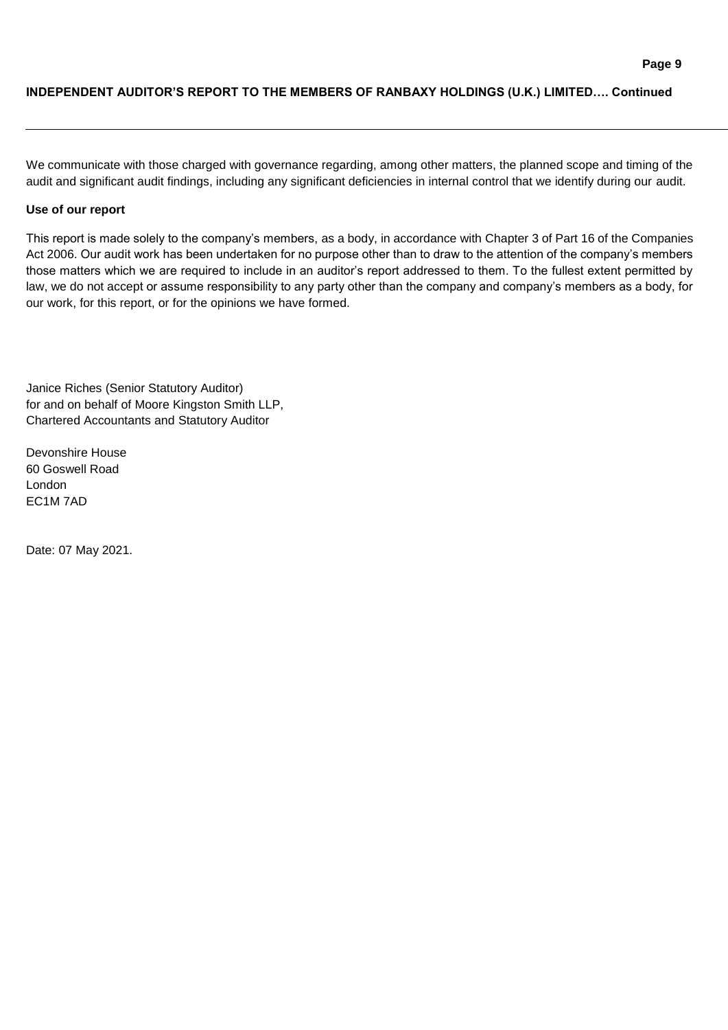# **INDEPENDENT AUDITOR'S REPORT TO THE MEMBERS OF RANBAXY HOLDINGS (U.K.) LIMITED…. Continued**

We communicate with those charged with governance regarding, among other matters, the planned scope and timing of the audit and significant audit findings, including any significant deficiencies in internal control that we identify during our audit.

# **Use of our report**

This report is made solely to the company's members, as a body, in accordance with Chapter 3 of Part 16 of the Companies Act 2006. Our audit work has been undertaken for no purpose other than to draw to the attention of the company's members those matters which we are required to include in an auditor's report addressed to them. To the fullest extent permitted by law, we do not accept or assume responsibility to any party other than the company and company's members as a body, for our work, for this report, or for the opinions we have formed.

Janice Riches (Senior Statutory Auditor) for and on behalf of Moore Kingston Smith LLP, Chartered Accountants and Statutory Auditor

Devonshire House 60 Goswell Road London EC1M 7AD

Date: 07 May 2021.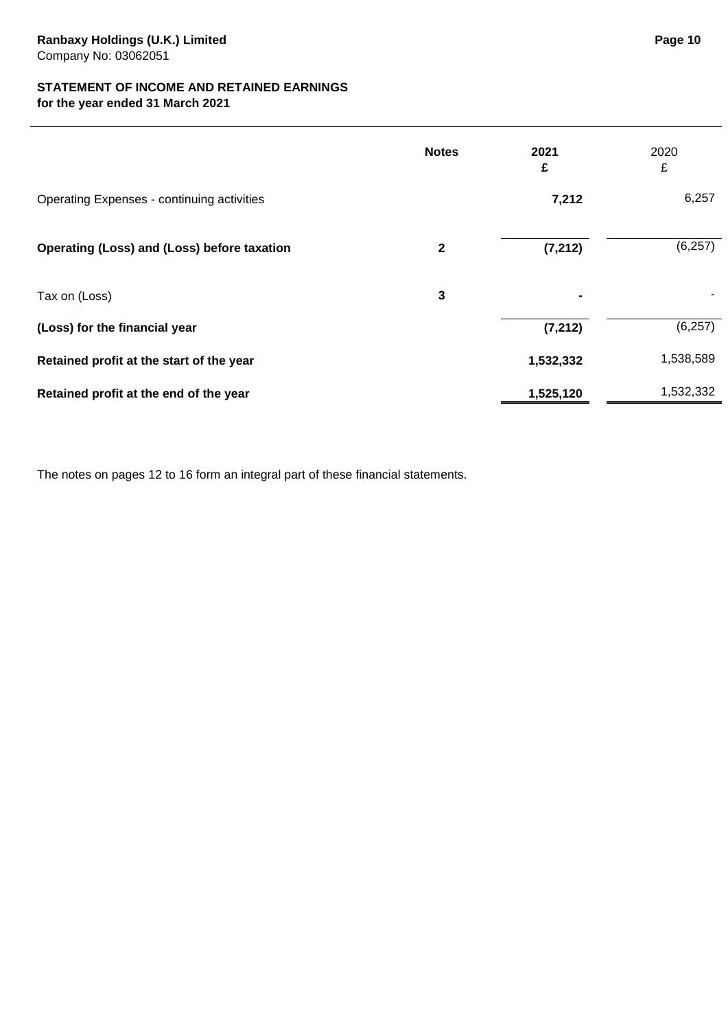# **STATEMENT OF INCOME AND RETAINED EARNINGS for the year ended 31 March 2021**

|                                             | <b>Notes</b> | 2021<br>£ | 2020<br>£ |
|---------------------------------------------|--------------|-----------|-----------|
| Operating Expenses - continuing activities  |              | 7,212     | 6,257     |
| Operating (Loss) and (Loss) before taxation | $\mathbf 2$  | (7, 212)  | (6, 257)  |
| Tax on (Loss)                               | 3            |           |           |
| (Loss) for the financial year               |              | (7, 212)  | (6, 257)  |
| Retained profit at the start of the year    |              | 1,532,332 | 1,538,589 |
| Retained profit at the end of the year      |              | 1,525,120 | 1,532,332 |

The notes on pages 12 to 16 form an integral part of these financial statements.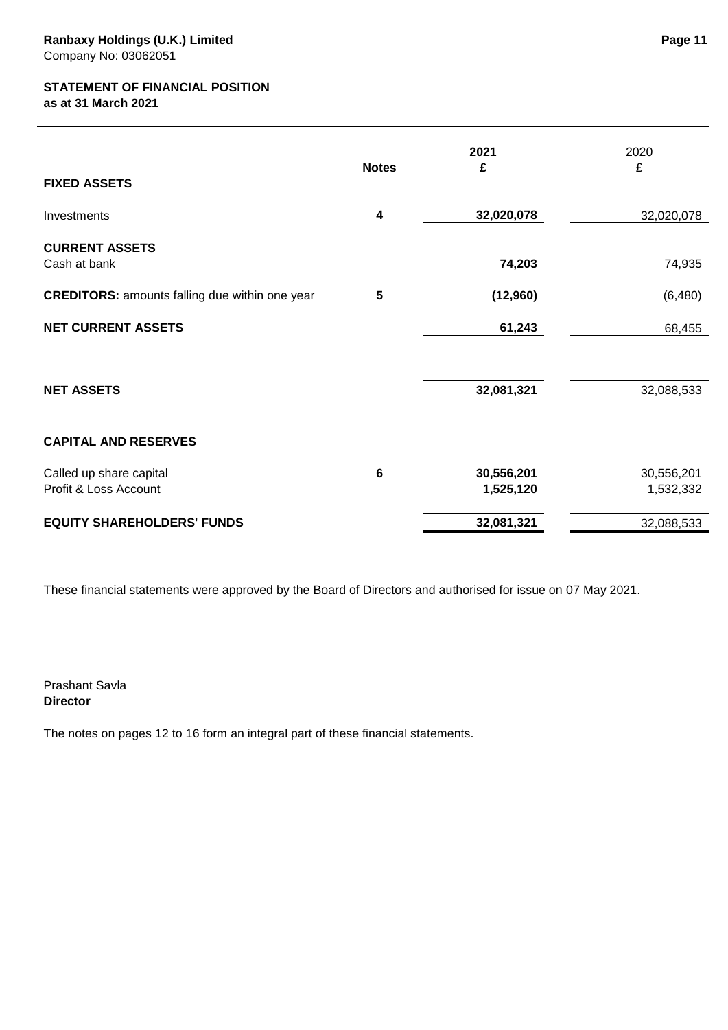## **STATEMENT OF FINANCIAL POSITION as at 31 March 2021**

|                                                       | <b>Notes</b> | 2021<br>£  | 2020<br>£  |
|-------------------------------------------------------|--------------|------------|------------|
| <b>FIXED ASSETS</b>                                   |              |            |            |
| Investments                                           | 4            | 32,020,078 | 32,020,078 |
| <b>CURRENT ASSETS</b><br>Cash at bank                 |              | 74,203     | 74,935     |
| <b>CREDITORS:</b> amounts falling due within one year | 5            | (12,960)   | (6, 480)   |
| <b>NET CURRENT ASSETS</b>                             |              | 61,243     | 68,455     |
|                                                       |              |            |            |
| <b>NET ASSETS</b>                                     |              | 32,081,321 | 32,088,533 |
| <b>CAPITAL AND RESERVES</b>                           |              |            |            |
| Called up share capital                               | 6            | 30,556,201 | 30,556,201 |
| Profit & Loss Account                                 |              | 1,525,120  | 1,532,332  |
| <b>EQUITY SHAREHOLDERS' FUNDS</b>                     |              | 32,081,321 | 32,088,533 |

These financial statements were approved by the Board of Directors and authorised for issue on 07 May 2021.

Prashant Savla **Director**

The notes on pages 12 to 16 form an integral part of these financial statements.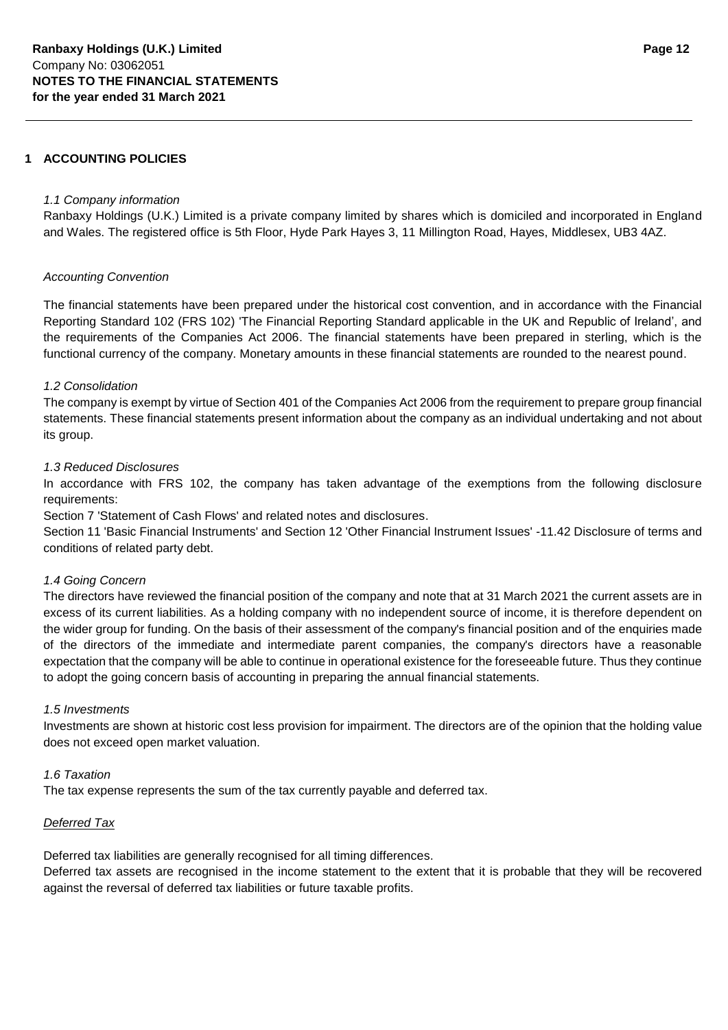# **1 ACCOUNTING POLICIES**

## *1.1 Company information*

Ranbaxy Holdings (U.K.) Limited is a private company limited by shares which is domiciled and incorporated in England and Wales. The registered office is 5th Floor, Hyde Park Hayes 3, 11 Millington Road, Hayes, Middlesex, UB3 4AZ.

### *Accounting Convention*

The financial statements have been prepared under the historical cost convention, and in accordance with the Financial Reporting Standard 102 (FRS 102) 'The Financial Reporting Standard applicable in the UK and Republic of Ireland', and the requirements of the Companies Act 2006. The financial statements have been prepared in sterling, which is the functional currency of the company. Monetary amounts in these financial statements are rounded to the nearest pound.

### *1.2 Consolidation*

The company is exempt by virtue of Section 401 of the Companies Act 2006 from the requirement to prepare group financial statements. These financial statements present information about the company as an individual undertaking and not about its group.

### *1.3 Reduced Disclosures*

In accordance with FRS 102, the company has taken advantage of the exemptions from the following disclosure requirements:

Section 7 'Statement of Cash Flows' and related notes and disclosures.

Section 11 'Basic Financial Instruments' and Section 12 'Other Financial Instrument Issues' -11.42 Disclosure of terms and conditions of related party debt.

# *1.4 Going Concern*

The directors have reviewed the financial position of the company and note that at 31 March 2021 the current assets are in excess of its current liabilities. As a holding company with no independent source of income, it is therefore dependent on the wider group for funding. On the basis of their assessment of the company's financial position and of the enquiries made of the directors of the immediate and intermediate parent companies, the company's directors have a reasonable expectation that the company will be able to continue in operational existence for the foreseeable future. Thus they continue to adopt the going concern basis of accounting in preparing the annual financial statements.

### *1.5 Investments*

Investments are shown at historic cost less provision for impairment. The directors are of the opinion that the holding value does not exceed open market valuation.

### *1.6 Taxation*

The tax expense represents the sum of the tax currently payable and deferred tax.

# *Deferred Tax*

Deferred tax liabilities are generally recognised for all timing differences.

Deferred tax assets are recognised in the income statement to the extent that it is probable that they will be recovered against the reversal of deferred tax liabilities or future taxable profits.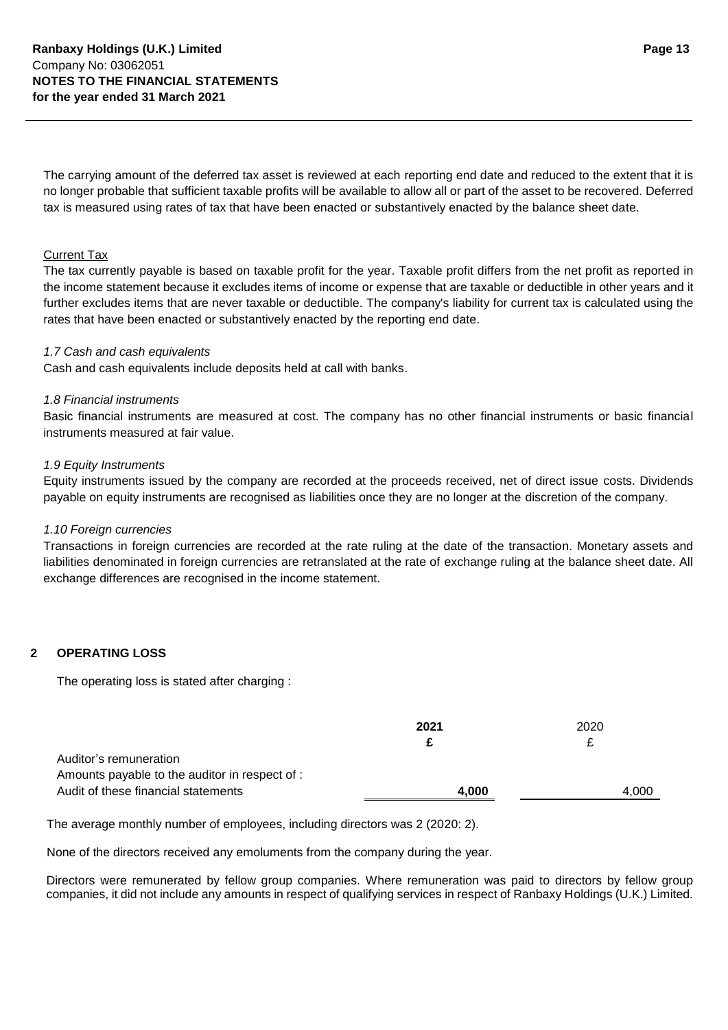The carrying amount of the deferred tax asset is reviewed at each reporting end date and reduced to the extent that it is no longer probable that sufficient taxable profits will be available to allow all or part of the asset to be recovered. Deferred tax is measured using rates of tax that have been enacted or substantively enacted by the balance sheet date.

# Current Tax

The tax currently payable is based on taxable profit for the year. Taxable profit differs from the net profit as reported in the income statement because it excludes items of income or expense that are taxable or deductible in other years and it further excludes items that are never taxable or deductible. The company's liability for current tax is calculated using the rates that have been enacted or substantively enacted by the reporting end date.

# *1.7 Cash and cash equivalents*

Cash and cash equivalents include deposits held at call with banks.

# *1.8 Financial instruments*

Basic financial instruments are measured at cost. The company has no other financial instruments or basic financial instruments measured at fair value.

# *1.9 Equity Instruments*

Equity instruments issued by the company are recorded at the proceeds received, net of direct issue costs. Dividends payable on equity instruments are recognised as liabilities once they are no longer at the discretion of the company.

# *1.10 Foreign currencies*

Transactions in foreign currencies are recorded at the rate ruling at the date of the transaction. Monetary assets and liabilities denominated in foreign currencies are retranslated at the rate of exchange ruling at the balance sheet date. All exchange differences are recognised in the income statement.

# **2 OPERATING LOSS**

The operating loss is stated after charging :

|                                                | 2021  | 2020  |
|------------------------------------------------|-------|-------|
|                                                |       | £     |
| Auditor's remuneration                         |       |       |
| Amounts payable to the auditor in respect of : |       |       |
| Audit of these financial statements            | 4,000 | 4.000 |

The average monthly number of employees, including directors was 2 (2020: 2).

None of the directors received any emoluments from the company during the year.

Directors were remunerated by fellow group companies. Where remuneration was paid to directors by fellow group companies, it did not include any amounts in respect of qualifying services in respect of Ranbaxy Holdings (U.K.) Limited.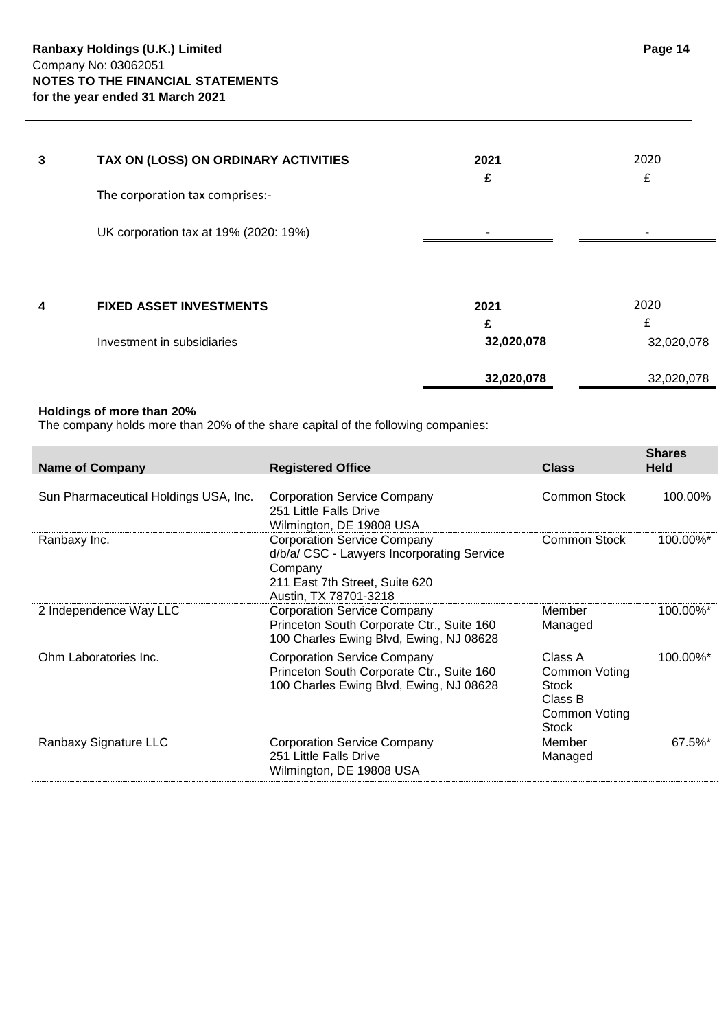| 3 | TAX ON (LOSS) ON ORDINARY ACTIVITIES  | 2021       | 2020       |
|---|---------------------------------------|------------|------------|
|   |                                       | £          | £          |
|   | The corporation tax comprises:-       |            |            |
|   | UK corporation tax at 19% (2020: 19%) |            |            |
|   |                                       |            |            |
| 4 | <b>FIXED ASSET INVESTMENTS</b>        | 2021       | 2020       |
|   |                                       | £          | £          |
|   | Investment in subsidiaries            | 32,020,078 | 32,020,078 |
|   |                                       | 32,020,078 | 32,020,078 |

# **Holdings of more than 20%**

The company holds more than 20% of the share capital of the following companies:

| <b>Name of Company</b>                | <b>Registered Office</b>                                                                                                                               | <b>Class</b>                                                                         | <b>Shares</b><br><b>Held</b> |
|---------------------------------------|--------------------------------------------------------------------------------------------------------------------------------------------------------|--------------------------------------------------------------------------------------|------------------------------|
| Sun Pharmaceutical Holdings USA, Inc. | <b>Corporation Service Company</b><br>251 Little Falls Drive<br>Wilmington, DE 19808 USA                                                               | Common Stock                                                                         | 100.00%                      |
| Ranbaxy Inc.                          | <b>Corporation Service Company</b><br>d/b/a/ CSC - Lawyers Incorporating Service<br>Company<br>211 East 7th Street, Suite 620<br>Austin, TX 78701-3218 | Common Stock                                                                         | 100.00%*                     |
| 2 Independence Way LLC                | <b>Corporation Service Company</b><br>Princeton South Corporate Ctr., Suite 160<br>100 Charles Ewing Blvd, Ewing, NJ 08628                             | Member<br>Managed                                                                    | 100.00%*                     |
| Ohm Laboratories Inc.                 | <b>Corporation Service Company</b><br>Princeton South Corporate Ctr., Suite 160<br>100 Charles Ewing Blvd, Ewing, NJ 08628                             | Class A<br>Common Voting<br><b>Stock</b><br>Class B<br>Common Voting<br><b>Stock</b> | 100.00%*                     |
| Ranbaxy Signature LLC                 | <b>Corporation Service Company</b><br>251 Little Falls Drive<br>Wilmington, DE 19808 USA                                                               | Member<br>Managed                                                                    | 67.5%*                       |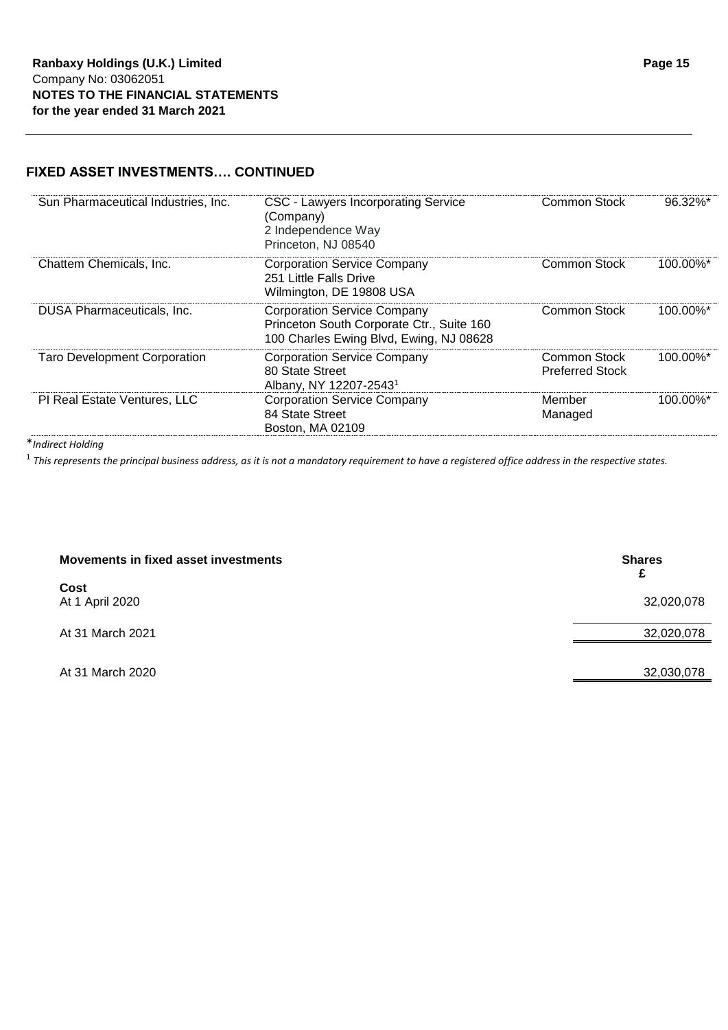# **FIXED ASSET INVESTMENTS…. CONTINUED**

| Sun Pharmaceutical Industries, Inc. | <b>CSC - Lawyers Incorporating Service</b><br>(Company)<br>2 Independence Way<br>Princeton, NJ 08540                       | Common Stock                           | $96.32\%$ * |
|-------------------------------------|----------------------------------------------------------------------------------------------------------------------------|----------------------------------------|-------------|
| Chattem Chemicals, Inc.             | <b>Corporation Service Company</b><br>251 Little Falls Drive<br>Wilmington, DE 19808 USA                                   | Common Stock                           | 100.00%*    |
| DUSA Pharmaceuticals, Inc.          | <b>Corporation Service Company</b><br>Princeton South Corporate Ctr., Suite 160<br>100 Charles Ewing Blvd, Ewing, NJ 08628 | Common Stock                           | 100.00%*    |
| <b>Taro Development Corporation</b> | <b>Corporation Service Company</b><br>80 State Street<br>Albany, NY 12207-25431                                            | Common Stock<br><b>Preferred Stock</b> | 100.00%*    |
| PI Real Estate Ventures, LLC        | <b>Corporation Service Company</b><br>84 State Street<br>Boston, MA 02109                                                  | Member<br>Managed                      | 100.00%*    |

# \**Indirect Holding*

1 *This represents the principal business address, as it is not a mandatory requirement to have a registered office address in the respective states.*

| Movements in fixed asset investments | <b>Shares</b><br>£ |
|--------------------------------------|--------------------|
| Cost                                 |                    |
| At 1 April 2020                      | 32,020,078         |
| At 31 March 2021                     | 32,020,078         |
|                                      |                    |
| At 31 March 2020                     | 32,030,078         |